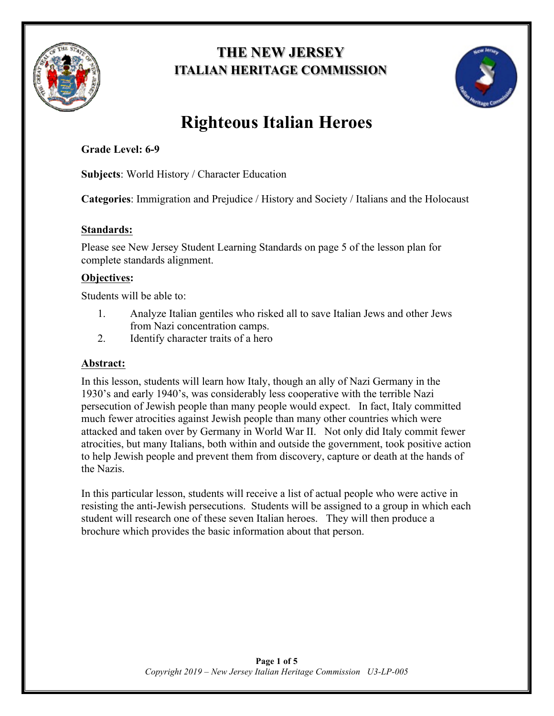

# **THE NEW JERSEY ITALIAN HERITAGE COMMISSION**



# **Righteous Italian Heroes**

# **Grade Level: 6-9**

**Subjects**: World History / Character Education

**Categories**: Immigration and Prejudice / History and Society / Italians and the Holocaust

### **Standards:**

Please see New Jersey Student Learning Standards on page 5 of the lesson plan for complete standards alignment.

# **Objectives:**

Students will be able to:

- 1. Analyze Italian gentiles who risked all to save Italian Jews and other Jews from Nazi concentration camps.
- 2. Identify character traits of a hero

# **Abstract:**

In this lesson, students will learn how Italy, though an ally of Nazi Germany in the 1930's and early 1940's, was considerably less cooperative with the terrible Nazi persecution of Jewish people than many people would expect. In fact, Italy committed much fewer atrocities against Jewish people than many other countries which were attacked and taken over by Germany in World War II. Not only did Italy commit fewer atrocities, but many Italians, both within and outside the government, took positive action to help Jewish people and prevent them from discovery, capture or death at the hands of the Nazis.

In this particular lesson, students will receive a list of actual people who were active in resisting the anti-Jewish persecutions. Students will be assigned to a group in which each student will research one of these seven Italian heroes. They will then produce a brochure which provides the basic information about that person.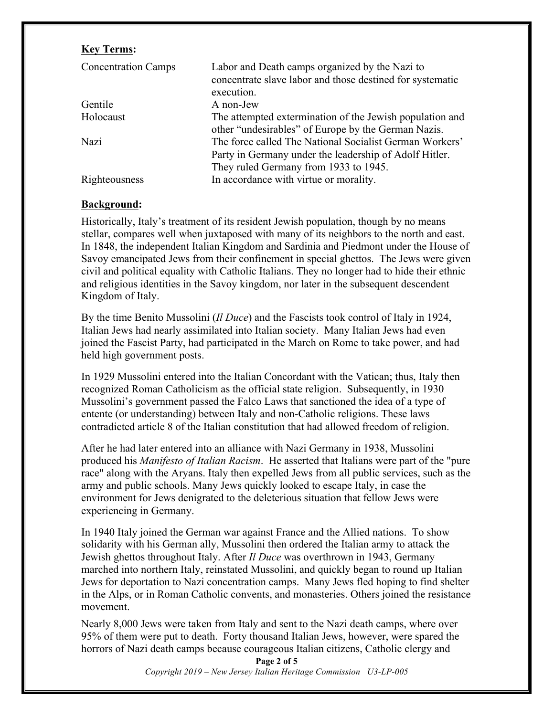#### **Key Terms:**

| <b>Concentration Camps</b> | Labor and Death camps organized by the Nazi to<br>concentrate slave labor and those destined for systematic<br>execution.                                  |
|----------------------------|------------------------------------------------------------------------------------------------------------------------------------------------------------|
| Gentile                    | A non-Jew                                                                                                                                                  |
| Holocaust                  | The attempted extermination of the Jewish population and<br>other "undesirables" of Europe by the German Nazis.                                            |
| Nazi                       | The force called The National Socialist German Workers'<br>Party in Germany under the leadership of Adolf Hitler.<br>They ruled Germany from 1933 to 1945. |
| Righteousness              | In accordance with virtue or morality.                                                                                                                     |

#### **Background:**

Historically, Italy's treatment of its resident Jewish population, though by no means stellar, compares well when juxtaposed with many of its neighbors to the north and east. In 1848, the independent Italian Kingdom and Sardinia and Piedmont under the House of Savoy emancipated Jews from their confinement in special ghettos. The Jews were given civil and political equality with Catholic Italians. They no longer had to hide their ethnic and religious identities in the Savoy kingdom, nor later in the subsequent descendent Kingdom of Italy.

By the time Benito Mussolini (*Il Duce*) and the Fascists took control of Italy in 1924, Italian Jews had nearly assimilated into Italian society. Many Italian Jews had even joined the Fascist Party, had participated in the March on Rome to take power, and had held high government posts.

In 1929 Mussolini entered into the Italian Concordant with the Vatican; thus, Italy then recognized Roman Catholicism as the official state religion. Subsequently, in 1930 Mussolini's government passed the Falco Laws that sanctioned the idea of a type of entente (or understanding) between Italy and non-Catholic religions. These laws contradicted article 8 of the Italian constitution that had allowed freedom of religion.

After he had later entered into an alliance with Nazi Germany in 1938, Mussolini produced his *Manifesto of Italian Racism*. He asserted that Italians were part of the "pure race" along with the Aryans. Italy then expelled Jews from all public services, such as the army and public schools. Many Jews quickly looked to escape Italy, in case the environment for Jews denigrated to the deleterious situation that fellow Jews were experiencing in Germany.

In 1940 Italy joined the German war against France and the Allied nations. To show solidarity with his German ally, Mussolini then ordered the Italian army to attack the Jewish ghettos throughout Italy. After *Il Duce* was overthrown in 1943, Germany marched into northern Italy, reinstated Mussolini, and quickly began to round up Italian Jews for deportation to Nazi concentration camps. Many Jews fled hoping to find shelter in the Alps, or in Roman Catholic convents, and monasteries. Others joined the resistance movement.

Nearly 8,000 Jews were taken from Italy and sent to the Nazi death camps, where over 95% of them were put to death. Forty thousand Italian Jews, however, were spared the horrors of Nazi death camps because courageous Italian citizens, Catholic clergy and

> **Page 2 of 5** *Copyright 2019 – New Jersey Italian Heritage Commission U3-LP-005*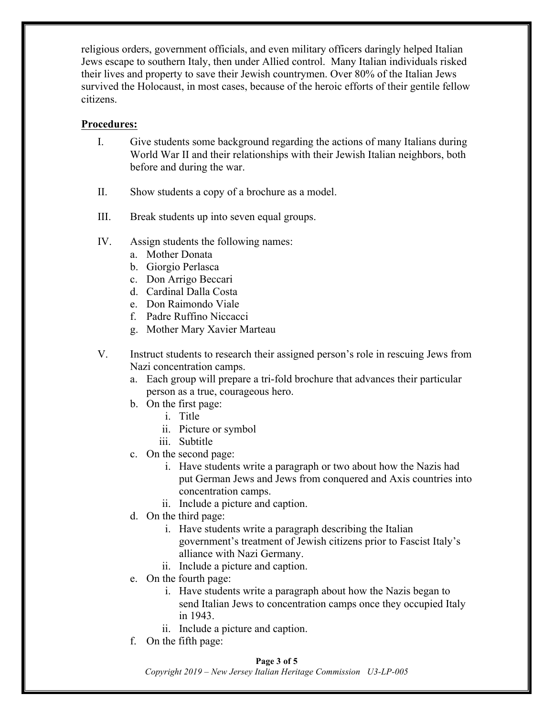religious orders, government officials, and even military officers daringly helped Italian Jews escape to southern Italy, then under Allied control. Many Italian individuals risked their lives and property to save their Jewish countrymen. Over 80% of the Italian Jews survived the Holocaust, in most cases, because of the heroic efforts of their gentile fellow citizens.

#### **Procedures:**

- I. Give students some background regarding the actions of many Italians during World War II and their relationships with their Jewish Italian neighbors, both before and during the war.
- II. Show students a copy of a brochure as a model.
- III. Break students up into seven equal groups.
- IV. Assign students the following names:
	- a. Mother Donata
	- b. Giorgio Perlasca
	- c. Don Arrigo Beccari
	- d. Cardinal Dalla Costa
	- e. Don Raimondo Viale
	- f. Padre Ruffino Niccacci
	- g. Mother Mary Xavier Marteau
- V. Instruct students to research their assigned person's role in rescuing Jews from Nazi concentration camps.
	- a. Each group will prepare a tri-fold brochure that advances their particular person as a true, courageous hero.
	- b. On the first page:
		- i. Title
		- ii. Picture or symbol
		- iii. Subtitle
	- c. On the second page:
		- i. Have students write a paragraph or two about how the Nazis had put German Jews and Jews from conquered and Axis countries into concentration camps.
		- ii. Include a picture and caption.
	- d. On the third page:
		- i. Have students write a paragraph describing the Italian government's treatment of Jewish citizens prior to Fascist Italy's alliance with Nazi Germany.
		- ii. Include a picture and caption.
	- e. On the fourth page:
		- i. Have students write a paragraph about how the Nazis began to send Italian Jews to concentration camps once they occupied Italy in 1943.
		- ii. Include a picture and caption.
	- f. On the fifth page:

#### **Page 3 of 5**

*Copyright 2019 – New Jersey Italian Heritage Commission U3-LP-005*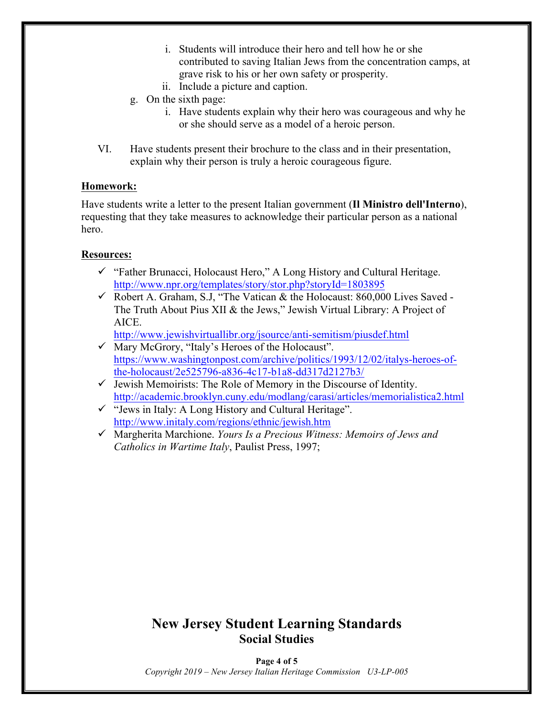- i. Students will introduce their hero and tell how he or she contributed to saving Italian Jews from the concentration camps, at grave risk to his or her own safety or prosperity.
- ii. Include a picture and caption.
- g. On the sixth page:
	- i. Have students explain why their hero was courageous and why he or she should serve as a model of a heroic person.
- VI. Have students present their brochure to the class and in their presentation, explain why their person is truly a heroic courageous figure.

#### **Homework:**

Have students write a letter to the present Italian government (**Il Ministro dell'Interno**), requesting that they take measures to acknowledge their particular person as a national hero.

#### **Resources:**

- $\checkmark$  "Father Brunacci, Holocaust Hero," A Long History and Cultural Heritage. http://www.npr.org/templates/story/stor.php?storyId=1803895
- $\checkmark$  Robert A. Graham, S.J, "The Vatican & the Holocaust: 860,000 Lives Saved -The Truth About Pius XII & the Jews," Jewish Virtual Library: A Project of AICE.

http://www.jewishvirtuallibr.org/jsource/anti-semitism/piusdef.html

- $\checkmark$  Mary McGrory, "Italy's Heroes of the Holocaust". https://www.washingtonpost.com/archive/politics/1993/12/02/italys-heroes-ofthe-holocaust/2e525796-a836-4c17-b1a8-dd317d2127b3/
- $\checkmark$  Jewish Memoirists: The Role of Memory in the Discourse of Identity. http://academic.brooklyn.cuny.edu/modlang/carasi/articles/memorialistica2.html
- $\checkmark$  "Jews in Italy: A Long History and Cultural Heritage". http://www.initaly.com/regions/ethnic/jewish.htm
- ü Margherita Marchione. *Yours Is a Precious Witness: Memoirs of Jews and Catholics in Wartime Italy*, Paulist Press, 1997;

# **New Jersey Student Learning Standards Social Studies**

**Page 4 of 5** *Copyright 2019 – New Jersey Italian Heritage Commission U3-LP-005*